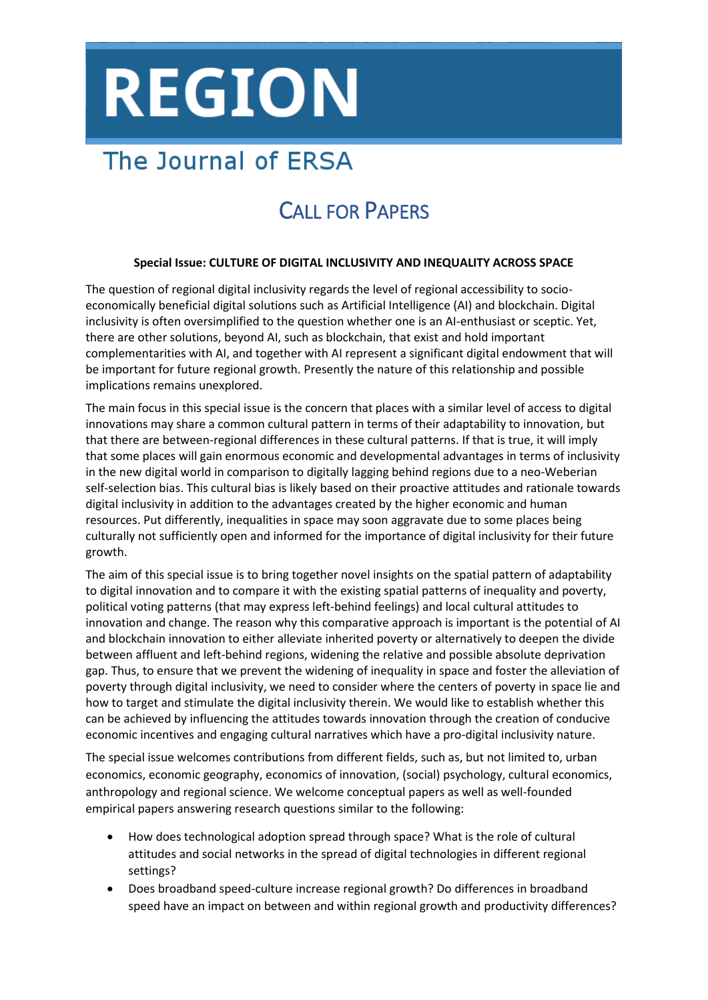# **REGION**

## The Journal of ERSA

### CALL FOR PAPERS

#### **Special Issue: CULTURE OF DIGITAL INCLUSIVITY AND INEQUALITY ACROSS SPACE**

The question of regional digital inclusivity regards the level of regional accessibility to socioeconomically beneficial digital solutions such as Artificial Intelligence (AI) and blockchain. Digital inclusivity is often oversimplified to the question whether one is an AI-enthusiast or sceptic. Yet, there are other solutions, beyond AI, such as blockchain, that exist and hold important complementarities with AI, and together with AI represent a significant digital endowment that will be important for future regional growth. Presently the nature of this relationship and possible implications remains unexplored.

The main focus in this special issue is the concern that places with a similar level of access to digital innovations may share a common cultural pattern in terms of their adaptability to innovation, but that there are between-regional differences in these cultural patterns. If that is true, it will imply that some places will gain enormous economic and developmental advantages in terms of inclusivity in the new digital world in comparison to digitally lagging behind regions due to a neo-Weberian self-selection bias. This cultural bias is likely based on their proactive attitudes and rationale towards digital inclusivity in addition to the advantages created by the higher economic and human resources. Put differently, inequalities in space may soon aggravate due to some places being culturally not sufficiently open and informed for the importance of digital inclusivity for their future growth.

The aim of this special issue is to bring together novel insights on the spatial pattern of adaptability to digital innovation and to compare it with the existing spatial patterns of inequality and poverty, political voting patterns (that may express left-behind feelings) and local cultural attitudes to innovation and change. The reason why this comparative approach is important is the potential of AI and blockchain innovation to either alleviate inherited poverty or alternatively to deepen the divide between affluent and left-behind regions, widening the relative and possible absolute deprivation gap. Thus, to ensure that we prevent the widening of inequality in space and foster the alleviation of poverty through digital inclusivity, we need to consider where the centers of poverty in space lie and how to target and stimulate the digital inclusivity therein. We would like to establish whether this can be achieved by influencing the attitudes towards innovation through the creation of conducive economic incentives and engaging cultural narratives which have a pro-digital inclusivity nature.

The special issue welcomes contributions from different fields, such as, but not limited to, urban economics, economic geography, economics of innovation, (social) psychology, cultural economics, anthropology and regional science. We welcome conceptual papers as well as well-founded empirical papers answering research questions similar to the following:

- How does technological adoption spread through space? What is the role of cultural attitudes and social networks in the spread of digital technologies in different regional settings?
- Does broadband speed-culture increase regional growth? Do differences in broadband speed have an impact on between and within regional growth and productivity differences?